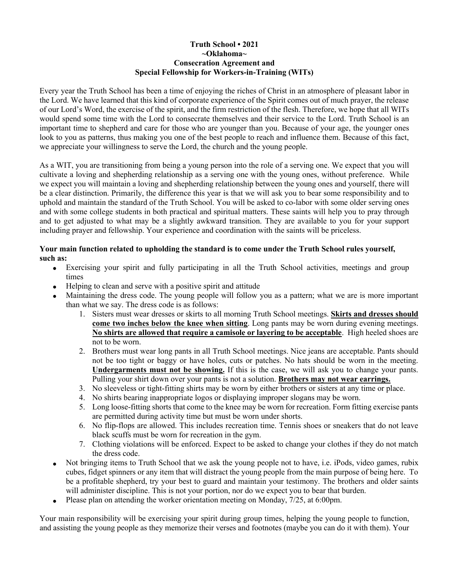## **Truth School • 2021 ~Oklahoma~ Consecration Agreement and Special Fellowship for Workers-in-Training (WITs)**

Every year the Truth School has been a time of enjoying the riches of Christ in an atmosphere of pleasant labor in the Lord. We have learned that this kind of corporate experience of the Spirit comes out of much prayer, the release of our Lord's Word, the exercise of the spirit, and the firm restriction of the flesh. Therefore, we hope that all WITs would spend some time with the Lord to consecrate themselves and their service to the Lord. Truth School is an important time to shepherd and care for those who are younger than you. Because of your age, the younger ones look to you as patterns, thus making you one of the best people to reach and influence them. Because of this fact, we appreciate your willingness to serve the Lord, the church and the young people.

As a WIT, you are transitioning from being a young person into the role of a serving one. We expect that you will cultivate a loving and shepherding relationship as a serving one with the young ones, without preference. While we expect you will maintain a loving and shepherding relationship between the young ones and yourself, there will be a clear distinction. Primarily, the difference this year is that we will ask you to bear some responsibility and to uphold and maintain the standard of the Truth School. You will be asked to co-labor with some older serving ones and with some college students in both practical and spiritual matters. These saints will help you to pray through and to get adjusted to what may be a slightly awkward transition. They are available to you for your support including prayer and fellowship. Your experience and coordination with the saints will be priceless.

## **Your main function related to upholding the standard is to come under the Truth School rules yourself, such as:**

- Exercising your spirit and fully participating in all the Truth School activities, meetings and group times
- Helping to clean and serve with a positive spirit and attitude
- Maintaining the dress code. The young people will follow you as a pattern; what we are is more important than what we say. The dress code is as follows:
	- 1. Sisters must wear dresses or skirts to all morning Truth School meetings. **Skirts and dresses should come two inches below the knee when sitting**. Long pants may be worn during evening meetings. **No shirts are allowed that require a camisole or layering to be acceptable**. High heeled shoes are not to be worn.
	- 2. Brothers must wear long pants in all Truth School meetings. Nice jeans are acceptable. Pants should not be too tight or baggy or have holes, cuts or patches. No hats should be worn in the meeting. **Undergarments must not be showing.** If this is the case, we will ask you to change your pants. Pulling your shirt down over your pants is not a solution. **Brothers may not wear earrings.**
	- 3. No sleeveless or tight-fitting shirts may be worn by either brothers or sisters at any time or place.
	- 4. No shirts bearing inappropriate logos or displaying improper slogans may be worn.
	- 5. Long loose-fitting shorts that come to the knee may be worn for recreation. Form fitting exercise pants are permitted during activity time but must be worn under shorts.
	- 6. No flip-flops are allowed. This includes recreation time. Tennis shoes or sneakers that do not leave black scuffs must be worn for recreation in the gym.
	- 7. Clothing violations will be enforced. Expect to be asked to change your clothes if they do not match the dress code.
- Not bringing items to Truth School that we ask the young people not to have, i.e. iPods, video games, rubix cubes, fidget spinners or any item that will distract the young people from the main purpose of being here. To be a profitable shepherd, try your best to guard and maintain your testimony. The brothers and older saints will administer discipline. This is not your portion, nor do we expect you to bear that burden.
- Please plan on attending the worker orientation meeting on Monday, 7/25, at 6:00 pm.

Your main responsibility will be exercising your spirit during group times, helping the young people to function, and assisting the young people as they memorize their verses and footnotes (maybe you can do it with them). Your